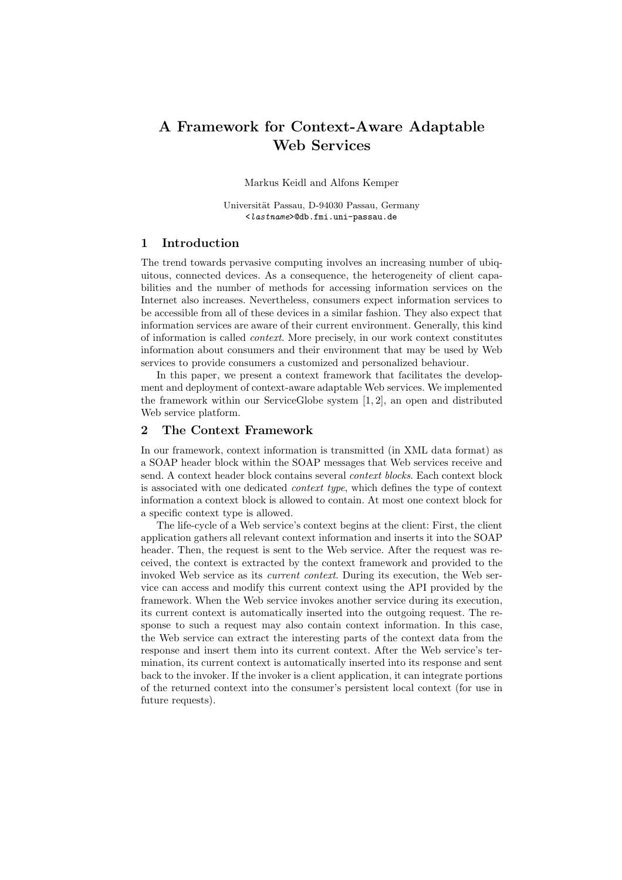## **A Framework for Context-Aware Adaptable Web Services**

Markus Keidl and Alfons Kemper

Universität Passau, D-94030 Passau, Germany <lastname>@db.fmi.uni-passau.de

### **1 Introduction**

The trend towards pervasive computing involves an increasing number of ubiquitous, connected devices. As a consequence, the heterogeneity of client capabilities and the number of methods for accessing information services on the Internet also increases. Nevertheless, consumers expect information services to be accessible from all of these devices in a similar fashion. They also expect that information services are aware of their current environment. Generally, this kind of information is called *context*. More precisely, in our work context constitutes information about consumers and their environment that may be used by Web services to provide consumers a customized and personalized behaviour.

In this paper, we present a context framework that facilitates the development and deployment of context-aware adaptable Web services. We implemented the framework within our ServiceGlobe system [1, 2], an open and distributed Web service platform.

### **2 The Context Framework**

In our framework, context information is transmitted (in XML data format) as a SOAP header block within the SOAP messages that Web services receive and send. A context header block contains several *context blocks*. Each context block is associated with one dedicated *context type*, which defines the type of context information a context block is allowed to contain. At most one context block for a specific context type is allowed.

The life-cycle of a Web service's context begins at the client: First, the client application gathers all relevant context information and inserts it into the SOAP header. Then, the request is sent to the Web service. After the request was received, the context is extracted by the context framework and provided to the invoked Web service as its *current context*. During its execution, the Web service can access and modify this current context using the API provided by the framework. When the Web service invokes another service during its execution, its current context is automatically inserted into the outgoing request. The response to such a request may also contain context information. In this case, the Web service can extract the interesting parts of the context data from the response and insert them into its current context. After the Web service's termination, its current context is automatically inserted into its response and sent back to the invoker. If the invoker is a client application, it can integrate portions of the returned context into the consumer's persistent local context (for use in future requests).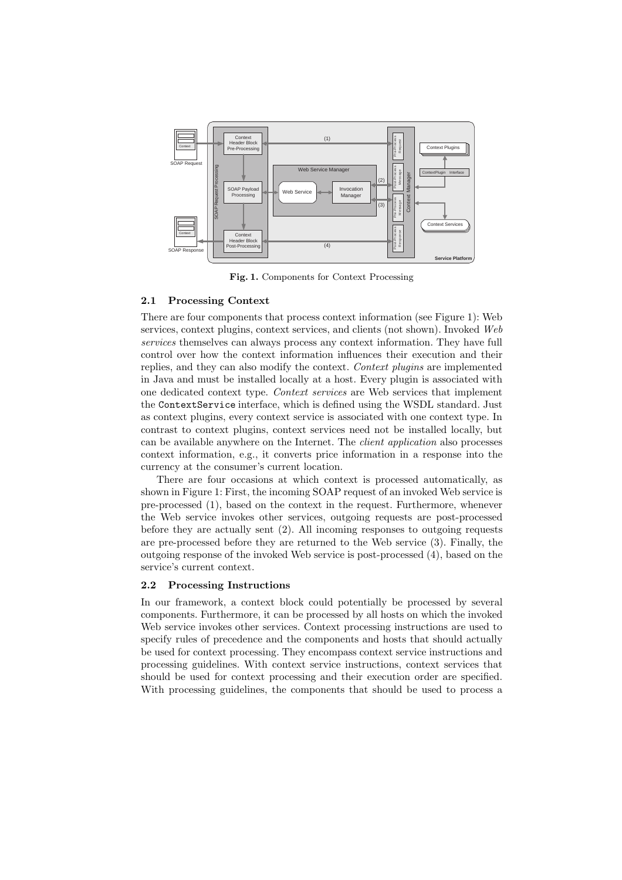

**Fig. 1.** Components for Context Processing

# **2.1 Processing Context**

There are four components that process context information (see Figure 1): Web services, context plugins, context services, and clients (not shown). Invoked *Web services* themselves can always process any context information. They have full control over how the context information influences their execution and their replies, and they can also modify the context. *Context plugins* are implemented in Java and must be installed locally at a host. Every plugin is associated with one dedicated context type. *Context services* are Web services that implement the ContextService interface, which is defined using the WSDL standard. Just as context plugins, every context service is associated with one context type. In contrast to context plugins, context services need not be installed locally, but can be available anywhere on the Internet. The *client application* also processes context information, e.g., it converts price information in a response into the currency at the consumer's current location.

There are four occasions at which context is processed automatically, as shown in Figure 1: First, the incoming SOAP request of an invoked Web service is pre-processed (1), based on the context in the request. Furthermore, whenever the Web service invokes other services, outgoing requests are post-processed before they are actually sent (2). All incoming responses to outgoing requests are pre-processed before they are returned to the Web service (3). Finally, the outgoing response of the invoked Web service is post-processed (4), based on the service's current context.

# **2.2 Processing Instructions**

In our framework, a context block could potentially be processed by several components. Furthermore, it can be processed by all hosts on which the invoked Web service invokes other services. Context processing instructions are used to specify rules of precedence and the components and hosts that should actually be used for context processing. They encompass context service instructions and processing guidelines. With context service instructions, context services that should be used for context processing and their execution order are specified. With processing guidelines, the components that should be used to process a